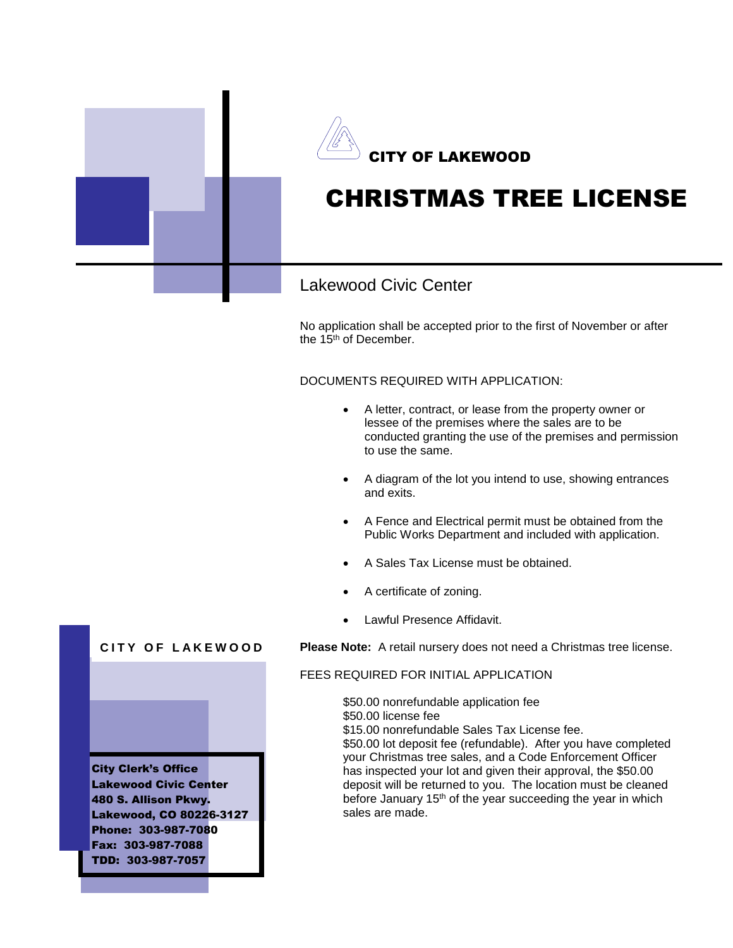

No application shall be accepted prior to the first of November or after the 15<sup>th</sup> of December.

DOCUMENTS REQUIRED WITH APPLICATION:

- A letter, contract, or lease from the property owner or lessee of the premises where the sales are to be conducted granting the use of the premises and permission to use the same.
- A diagram of the lot you intend to use, showing entrances and exits.
- A Fence and Electrical permit must be obtained from the Public Works Department and included with application.
- A Sales Tax License must be obtained.
- A certificate of zoning.
- Lawful Presence Affidavit.

**Please Note:** A retail nursery does not need a Christmas tree license.

# FEES REQUIRED FOR INITIAL APPLICATION

\$50.00 nonrefundable application fee \$50.00 license fee

\$15.00 nonrefundable Sales Tax License fee.

\$50.00 lot deposit fee (refundable). After you have completed your Christmas tree sales, and a Code Enforcement Officer has inspected your lot and given their approval, the \$50.00 deposit will be returned to you. The location must be cleaned before January 15<sup>th</sup> of the year succeeding the year in which sales are made.

# **CITY OF LAKEWOOD**

City Clerk's Office Lakewood Civic Center 480 S. Allison Pkwy. Lakewood, CO 80226-3127 Phone: 303-987-7080 Fax: 303-987-7088 TDD: 303-987-7057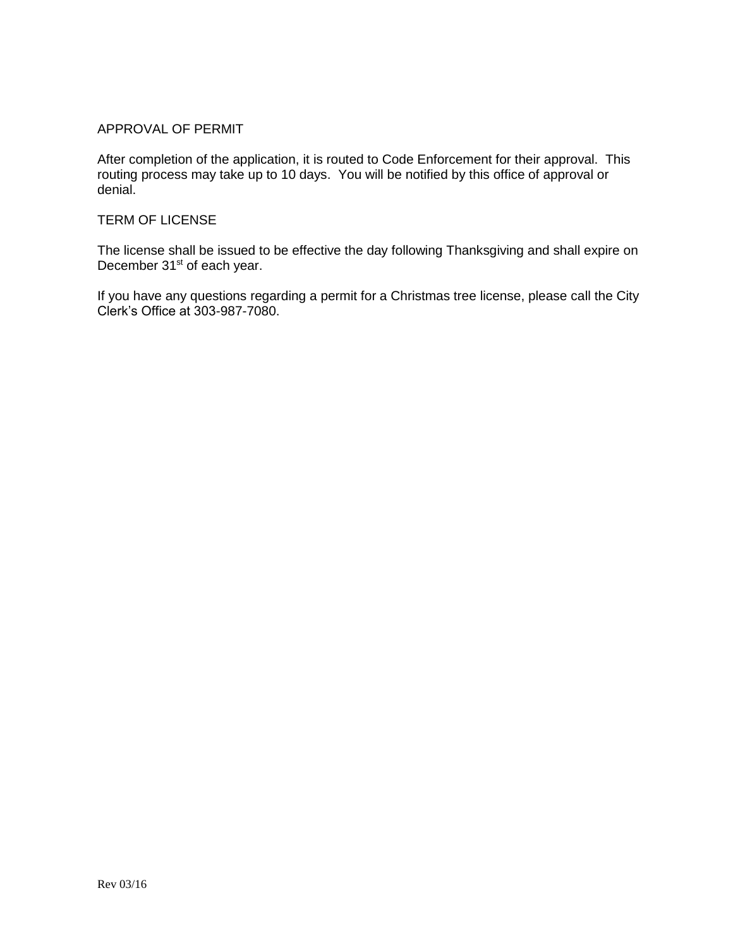# APPROVAL OF PERMIT

After completion of the application, it is routed to Code Enforcement for their approval. This routing process may take up to 10 days. You will be notified by this office of approval or denial.

# TERM OF LICENSE

The license shall be issued to be effective the day following Thanksgiving and shall expire on December 31<sup>st</sup> of each year.

If you have any questions regarding a permit for a Christmas tree license, please call the City Clerk's Office at 303-987-7080.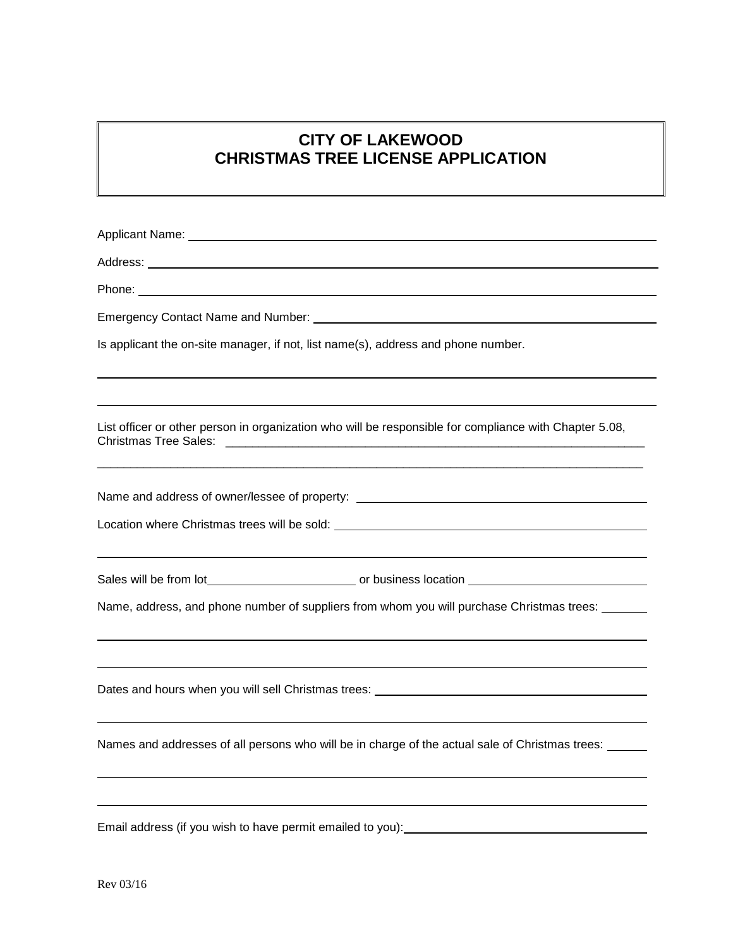# **CITY OF LAKEWOOD CHRISTMAS TREE LICENSE APPLICATION**

| Is applicant the on-site manager, if not, list name(s), address and phone number.                      |
|--------------------------------------------------------------------------------------------------------|
| List officer or other person in organization who will be responsible for compliance with Chapter 5.08, |
| Name and address of owner/lessee of property: __________________________________                       |
| Name, address, and phone number of suppliers from whom you will purchase Christmas trees: ______       |
| ,我们也不会有什么。""我们的人,我们也不会有什么?""我们的人,我们也不会有什么?""我们的人,我们也不会有什么?""我们的人,我们也不会有什么?""我们的人                       |
| Dates and hours when you will sell Christmas trees: _____________________________                      |
| Names and addresses of all persons who will be in charge of the actual sale of Christmas trees: _____  |
| Email address (if you wish to have permit emailed to you):                                             |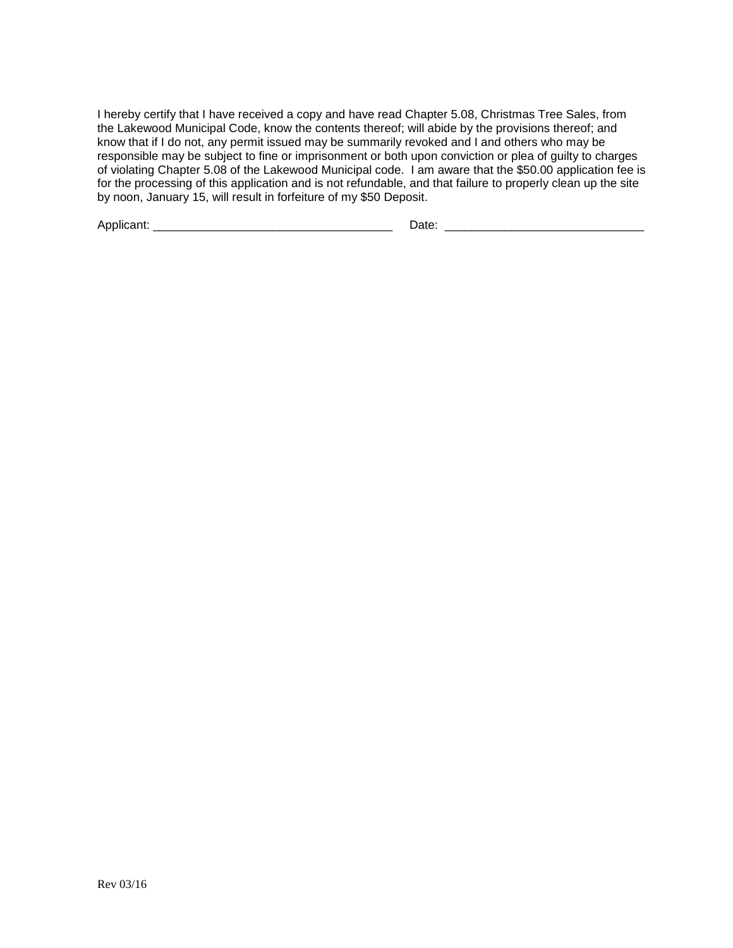I hereby certify that I have received a copy and have read Chapter 5.08, Christmas Tree Sales, from the Lakewood Municipal Code, know the contents thereof; will abide by the provisions thereof; and know that if I do not, any permit issued may be summarily revoked and I and others who may be responsible may be subject to fine or imprisonment or both upon conviction or plea of guilty to charges of violating Chapter 5.08 of the Lakewood Municipal code. I am aware that the \$50.00 application fee is for the processing of this application and is not refundable, and that failure to properly clean up the site by noon, January 15, will result in forfeiture of my \$50 Deposit.

Applicant: \_\_\_\_\_\_\_\_\_\_\_\_\_\_\_\_\_\_\_\_\_\_\_\_\_\_\_\_\_\_\_\_\_\_\_\_ Date: \_\_\_\_\_\_\_\_\_\_\_\_\_\_\_\_\_\_\_\_\_\_\_\_\_\_\_\_\_\_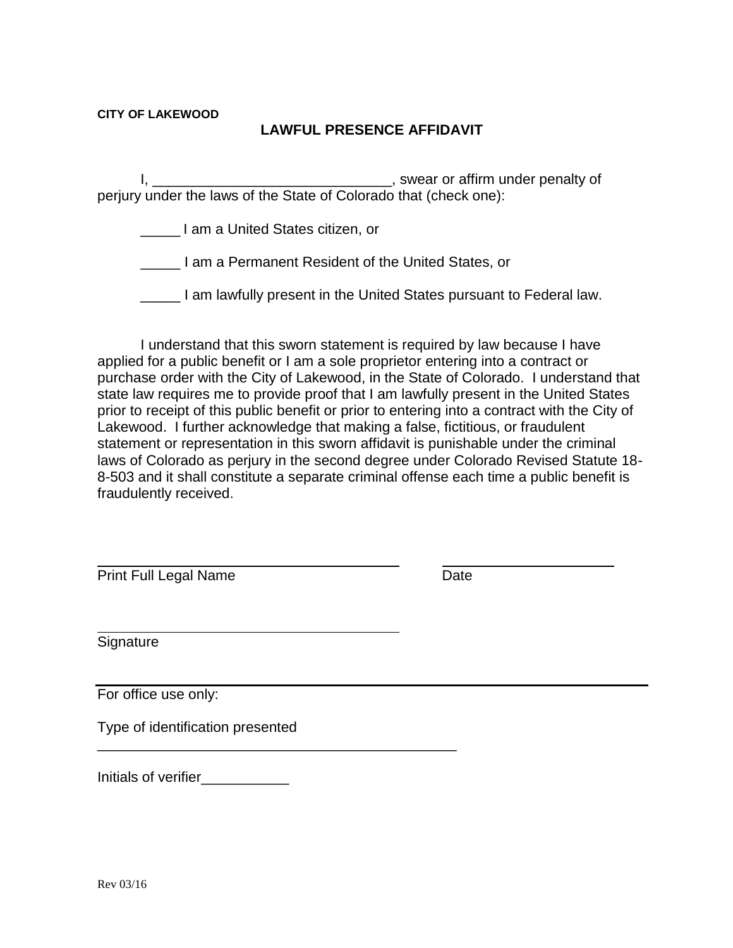# **CITY OF LAKEWOOD**

# **LAWFUL PRESENCE AFFIDAVIT**

I, \_\_\_\_\_\_\_\_\_\_\_\_\_\_\_\_\_\_\_\_\_\_\_\_\_\_\_\_\_\_, swear or affirm under penalty of perjury under the laws of the State of Colorado that (check one):

\_\_\_\_\_ I am a United States citizen, or

\_\_\_\_\_ I am a Permanent Resident of the United States, or

\_\_\_\_\_ I am lawfully present in the United States pursuant to Federal law.

I understand that this sworn statement is required by law because I have applied for a public benefit or I am a sole proprietor entering into a contract or purchase order with the City of Lakewood, in the State of Colorado. I understand that state law requires me to provide proof that I am lawfully present in the United States prior to receipt of this public benefit or prior to entering into a contract with the City of Lakewood. I further acknowledge that making a false, fictitious, or fraudulent statement or representation in this sworn affidavit is punishable under the criminal laws of Colorado as perjury in the second degree under Colorado Revised Statute 18- 8-503 and it shall constitute a separate criminal offense each time a public benefit is fraudulently received.

Print Full Legal Name Date

Signature

For office use only:

Type of identification presented

\_\_\_\_\_\_\_\_\_\_\_\_\_\_\_\_\_\_\_\_\_\_\_\_\_\_\_\_\_\_\_\_\_\_\_\_\_\_\_\_\_\_\_\_\_

| Initials of verifier |  |
|----------------------|--|
|----------------------|--|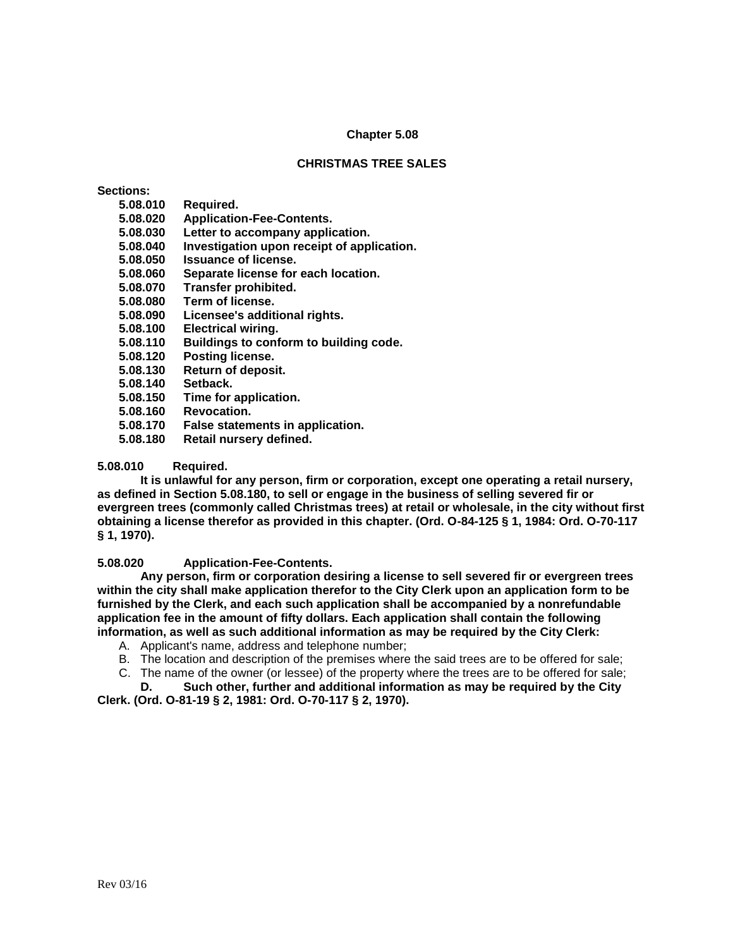#### **Chapter 5.08**

## **CHRISTMAS TREE SALES**

# **Sections:**

- **5.08.010 Required.**
- **5.08.020 Application-Fee-Contents.**
- **5.08.030 Letter to accompany application.**
- **5.08.040 Investigation upon receipt of application.**
- **5.08.050 Issuance of license.**
- **5.08.060 Separate license for each location.**
- **5.08.070 Transfer prohibited.**
- **5.08.080 Term of license.**
- **5.08.090 Licensee's additional rights.**
- **5.08.100 Electrical wiring.**
- **5.08.110 Buildings to conform to building code.**
- **5.08.120 Posting license.**
- **5.08.130 Return of deposit.**
- **5.08.140 Setback.**
- **5.08.150 Time for application.**
- **5.08.160 Revocation.**
- **5.08.170 False statements in application.**
- **5.08.180 Retail nursery defined.**

#### **5.08.010 Required.**

**It is unlawful for any person, firm or corporation, except one operating a retail nursery, as defined in Section 5.08.180, to sell or engage in the business of selling severed fir or evergreen trees (commonly called Christmas trees) at retail or wholesale, in the city without first obtaining a license therefor as provided in this chapter. (Ord. O-84-125 § 1, 1984: Ord. O-70-117 § 1, 1970).**

#### **5.08.020 Application-Fee-Contents.**

**Any person, firm or corporation desiring a license to sell severed fir or evergreen trees within the city shall make application therefor to the City Clerk upon an application form to be furnished by the Clerk, and each such application shall be accompanied by a nonrefundable application fee in the amount of fifty dollars. Each application shall contain the following information, as well as such additional information as may be required by the City Clerk:**

- A. Applicant's name, address and telephone number;
- B. The location and description of the premises where the said trees are to be offered for sale;
- C. The name of the owner (or lessee) of the property where the trees are to be offered for sale;

**D. Such other, further and additional information as may be required by the City Clerk. (Ord. O-81-19 § 2, 1981: Ord. O-70-117 § 2, 1970).**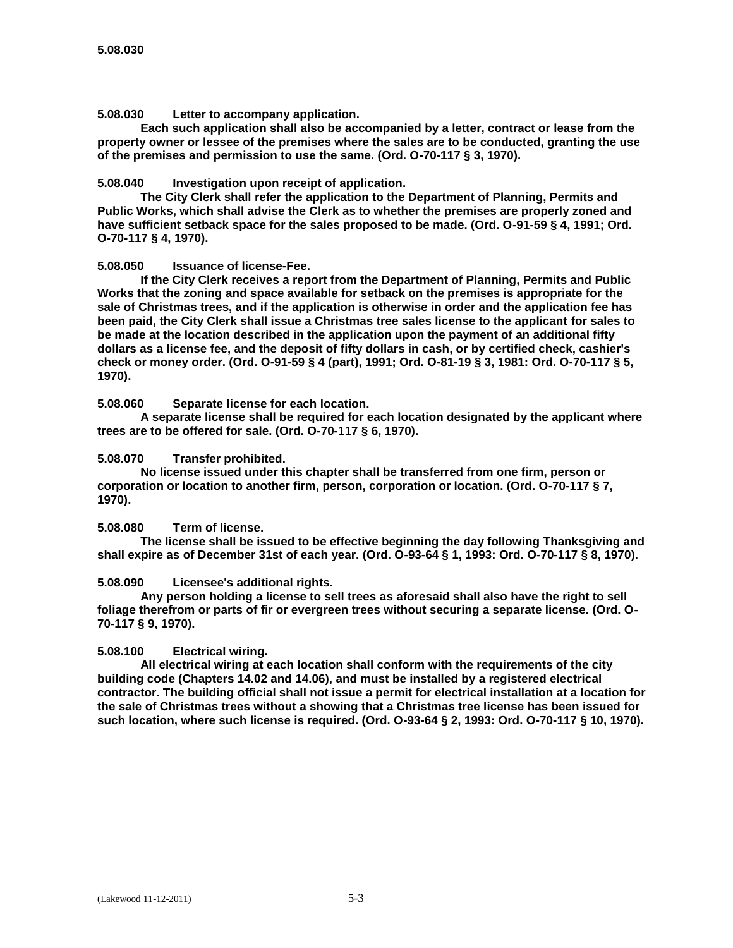**5.08.030 Letter to accompany application.**

**Each such application shall also be accompanied by a letter, contract or lease from the property owner or lessee of the premises where the sales are to be conducted, granting the use of the premises and permission to use the same. (Ord. O-70-117 § 3, 1970).**

# **5.08.040 Investigation upon receipt of application.**

**The City Clerk shall refer the application to the Department of Planning, Permits and Public Works, which shall advise the Clerk as to whether the premises are properly zoned and have sufficient setback space for the sales proposed to be made. (Ord. O-91-59 § 4, 1991; Ord. O-70-117 § 4, 1970).**

# **5.08.050 Issuance of license-Fee.**

**If the City Clerk receives a report from the Department of Planning, Permits and Public Works that the zoning and space available for setback on the premises is appropriate for the sale of Christmas trees, and if the application is otherwise in order and the application fee has been paid, the City Clerk shall issue a Christmas tree sales license to the applicant for sales to be made at the location described in the application upon the payment of an additional fifty dollars as a license fee, and the deposit of fifty dollars in cash, or by certified check, cashier's check or money order. (Ord. O-91-59 § 4 (part), 1991; Ord. O-81-19 § 3, 1981: Ord. O-70-117 § 5, 1970).**

# **5.08.060 Separate license for each location.**

**A separate license shall be required for each location designated by the applicant where trees are to be offered for sale. (Ord. O-70-117 § 6, 1970).**

# **5.08.070 Transfer prohibited.**

**No license issued under this chapter shall be transferred from one firm, person or corporation or location to another firm, person, corporation or location. (Ord. O-70-117 § 7, 1970).**

#### **5.08.080 Term of license.**

**The license shall be issued to be effective beginning the day following Thanksgiving and shall expire as of December 31st of each year. (Ord. O-93-64 § 1, 1993: Ord. O-70-117 § 8, 1970).**

#### **5.08.090 Licensee's additional rights.**

**Any person holding a license to sell trees as aforesaid shall also have the right to sell foliage therefrom or parts of fir or evergreen trees without securing a separate license. (Ord. O-70-117 § 9, 1970).**

# **5.08.100 Electrical wiring.**

**All electrical wiring at each location shall conform with the requirements of the city building code (Chapters 14.02 and 14.06), and must be installed by a registered electrical contractor. The building official shall not issue a permit for electrical installation at a location for the sale of Christmas trees without a showing that a Christmas tree license has been issued for such location, where such license is required. (Ord. O-93-64 § 2, 1993: Ord. O-70-117 § 10, 1970).**